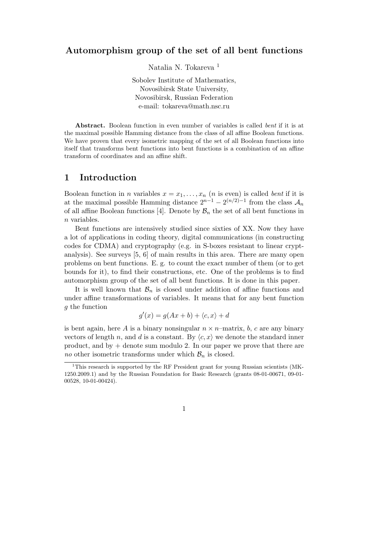### Automorphism group of the set of all bent functions

Natalia N. Tokareva <sup>1</sup>

Sobolev Institute of Mathematics, Novosibirsk State University, Novosibirsk, Russian Federation e-mail: tokareva@math.nsc.ru

Abstract. Boolean function in even number of variables is called bent if it is at the maximal possible Hamming distance from the class of all affine Boolean functions. We have proven that every isometric mapping of the set of all Boolean functions into itself that transforms bent functions into bent functions is a combination of an affine transform of coordinates and an affine shift.

## 1 Introduction

Boolean function in *n* variables  $x = x_1, \ldots, x_n$  (*n* is even) is called *bent* if it is at the maximal possible Hamming distance  $2^{n-1} - 2^{(n/2)-1}$  from the class  $\mathcal{A}_n$ of all affine Boolean functions [4]. Denote by  $\mathcal{B}_n$  the set of all bent functions in n variables.

Bent functions are intensively studied since sixties of XX. Now they have a lot of applications in coding theory, digital communications (in constructing codes for CDMA) and cryptography (e.g. in S-boxes resistant to linear cryptanalysis). See surveys [5, 6] of main results in this area. There are many open problems on bent functions. E. g. to count the exact number of them (or to get bounds for it), to find their constructions, etc. One of the problems is to find automorphism group of the set of all bent functions. It is done in this paper.

It is well known that  $\mathcal{B}_n$  is closed under addition of affine functions and under affine transformations of variables. It means that for any bent function g the function

$$
g'(x) = g(Ax + b) + \langle c, x \rangle + d
$$

is bent again, here A is a binary nonsingular  $n \times n$ –matrix, b, c are any binary vectors of length n, and d is a constant. By  $\langle c, x \rangle$  we denote the standard inner product, and by  $+$  denote sum modulo 2. In our paper we prove that there are no other isometric transforms under which  $\mathcal{B}_n$  is closed.

<sup>&</sup>lt;sup>1</sup>This research is supported by the RF President grant for young Russian scientists (MK-1250.2009.1) and by the Russian Foundation for Basic Research (grants 08-01-00671, 09-01- 00528, 10-01-00424).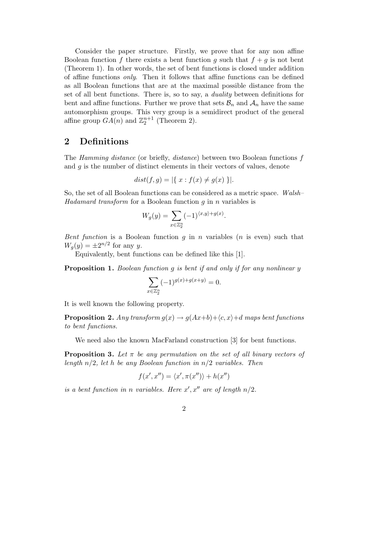Consider the paper structure. Firstly, we prove that for any non affine Boolean function f there exists a bent function g such that  $f + g$  is not bent (Theorem 1). In other words, the set of bent functions is closed under addition of affine functions only. Then it follows that affine functions can be defined as all Boolean functions that are at the maximal possible distance from the set of all bent functions. There is, so to say, a duality between definitions for bent and affine functions. Further we prove that sets  $\mathcal{B}_n$  and  $\mathcal{A}_n$  have the same automorphism groups. This very group is a semidirect product of the general affine group  $GA(n)$  and  $\mathbb{Z}_2^{n+1}$  (Theorem 2).

### 2 Definitions

The Hamming distance (or briefly, distance) between two Boolean functions f and  $q$  is the number of distinct elements in their vectors of values, denote

$$
dist(f, g) = |\{ x : f(x) \neq g(x) \}|.
$$

So, the set of all Boolean functions can be considered as a metric space. Walsh– Hadamard transform for a Boolean function  $q$  in  $n$  variables is

$$
W_g(y) = \sum_{x \in \mathbb{Z}_2^n} (-1)^{\langle x, y \rangle + g(x)}.
$$

Bent function is a Boolean function q in n variables (n is even) such that  $W_g(y) = \pm 2^{n/2}$  for any y.

Equivalently, bent functions can be defined like this [1].

**Proposition 1.** Boolean function g is bent if and only if for any nonlinear y

$$
\sum_{x \in \mathbb{Z}_2^n} (-1)^{g(x) + g(x+y)} = 0.
$$

It is well known the following property.

**Proposition 2.** Any transform  $g(x) \rightarrow g(Ax+b)+\langle c, x \rangle + d$  maps bent functions to bent functions.

We need also the known MacFarland construction [3] for bent functions.

**Proposition 3.** Let  $\pi$  be any permutation on the set of all binary vectors of length  $n/2$ , let h be any Boolean function in  $n/2$  variables. Then

$$
f(x',x'')=\langle x',\pi(x'')\rangle+h(x'')
$$

is a bent function in n variables. Here  $x', x''$  are of length  $n/2$ .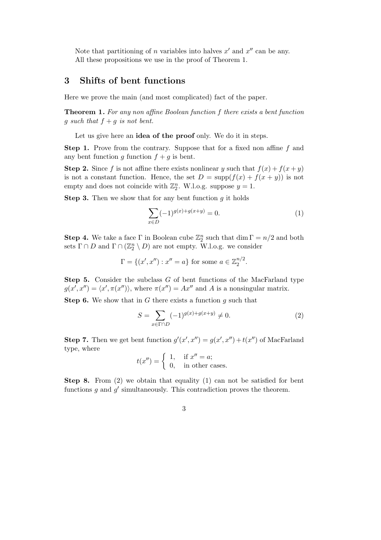Note that partitioning of *n* variables into halves  $x'$  and  $x''$  can be any. All these propositions we use in the proof of Theorem 1.

# 3 Shifts of bent functions

Here we prove the main (and most complicated) fact of the paper.

Theorem 1. For any non affine Boolean function f there exists a bent function g such that  $f + g$  is not bent.

Let us give here an idea of the proof only. We do it in steps.

Step 1. Prove from the contrary. Suppose that for a fixed non affine f and any bent function g function  $f + g$  is bent.

**Step 2.** Since f is not affine there exists nonlinear y such that  $f(x) + f(x + y)$ is not a constant function. Hence, the set  $D = \text{supp}(f(x) + f(x + y))$  is not empty and does not coincide with  $\mathbb{Z}_2^n$ . W.l.o.g. suppose  $y = 1$ .

**Step 3.** Then we show that for any bent function  $g$  it holds

$$
\sum_{x \in D} (-1)^{g(x) + g(x+y)} = 0.
$$
 (1)

**Step 4.** We take a face  $\Gamma$  in Boolean cube  $\mathbb{Z}_2^n$  such that  $\dim \Gamma = n/2$  and both sets  $\Gamma \cap D$  and  $\Gamma \cap (\mathbb{Z}_2^n \setminus D)$  are not empty. W.l.o.g. we consider

$$
\Gamma = \{(x', x''): x'' = a\}
$$
 for some  $a \in \mathbb{Z}_2^{n/2}$ .

Step 5. Consider the subclass G of bent functions of the MacFarland type  $g(x', x'') = \langle x', \pi(x'') \rangle$ , where  $\pi(x'') = Ax''$  and A is a nonsingular matrix.

**Step 6.** We show that in G there exists a function  $q$  such that

$$
S = \sum_{x \in \Gamma \cap D} (-1)^{g(x) + g(x+y)} \neq 0.
$$
 (2)

**Step 7.** Then we get bent function  $g'(x', x'') = g(x', x'') + t(x'')$  of MacFarland type, where

$$
t(x'') = \begin{cases} 1, & \text{if } x'' = a; \\ 0, & \text{in other cases.} \end{cases}
$$

Step 8. From (2) we obtain that equality (1) can not be satisfied for bent functions  $g$  and  $g'$  simultaneously. This contradiction proves the theorem.

3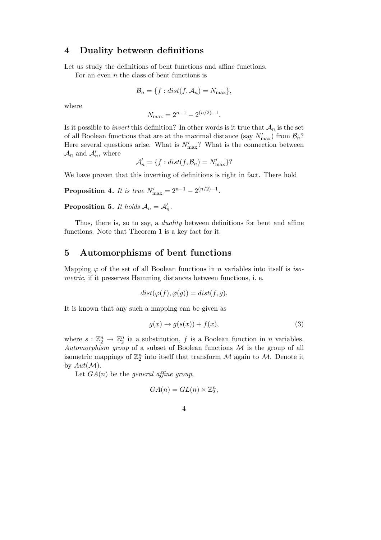### 4 Duality between definitions

Let us study the definitions of bent functions and affine functions.

For an even  $n$  the class of bent functions is

$$
\mathcal{B}_n = \{f : dist(f, \mathcal{A}_n) = N_{\max}\},\
$$

where

$$
N_{\max} = 2^{n-1} - 2^{(n/2)-1}.
$$

Is it possible to *invert* this definition? In other words is it true that  $\mathcal{A}_n$  is the set of all Boolean functions that are at the maximal distance (say  $N'_{\text{max}}$ ) from  $\mathcal{B}_n$ ? Here several questions arise. What is  $N'_{\text{max}}$ ? What is the connection between  $\mathcal{A}_n$  and  $\mathcal{A}'_n$ , where

$$
\mathcal{A}'_n = \{f : dist(f, \mathcal{B}_n) = N'_{\max}\}
$$
?

We have proven that this inverting of definitions is right in fact. There hold

**Proposition 4.** It is true  $N'_{\text{max}} = 2^{n-1} - 2^{(n/2)-1}$ .

**Proposition 5.** It holds  $A_n = A'_n$ .

Thus, there is, so to say, a *duality* between definitions for bent and affine functions. Note that Theorem 1 is a key fact for it.

## 5 Automorphisms of bent functions

Mapping  $\varphi$  of the set of all Boolean functions in *n* variables into itself is *iso*metric, if it preserves Hamming distances between functions, i. e.

$$
dist(\varphi(f), \varphi(g)) = dist(f, g).
$$

It is known that any such a mapping can be given as

$$
g(x) \to g(s(x)) + f(x), \tag{3}
$$

where  $s: \mathbb{Z}_2^n \to \mathbb{Z}_2^n$  ia a substitution, f is a Boolean function in n variables. Automorphism group of a subset of Boolean functions  $\mathcal M$  is the group of all isometric mappings of  $\mathbb{Z}_2^n$  into itself that transform M again to M. Denote it by  $Aut(\mathcal{M})$ .

Let  $GA(n)$  be the general affine group,

$$
GA(n) = GL(n) \ltimes \mathbb{Z}_2^n,
$$